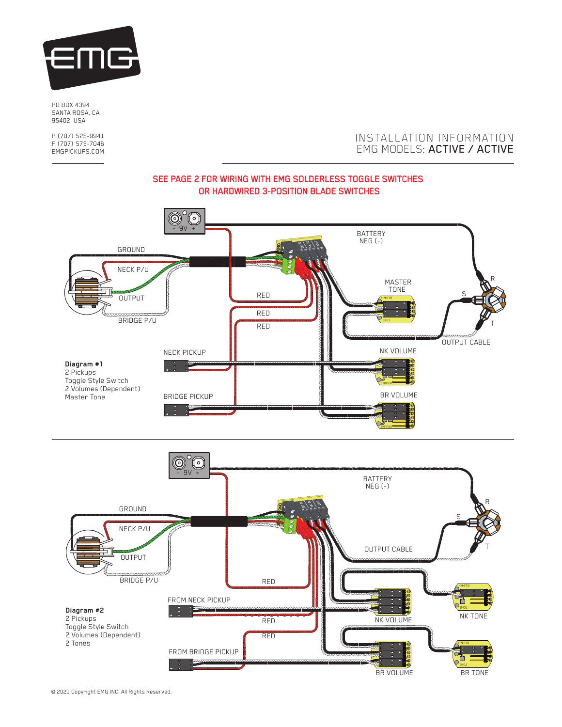

PO BOX 4394 SANTA ROSA, CA 95402 USA

P (707) 525-9941 F (707) 575-7046 EMGPICKUPS.COM

## INSTALLATION INFORMATION EMG MODELS: ACTIVE / ACTIVE

## SEE PAGE 2 FOR WIRING WITH EMG SOLDERLESS TOGGLE SWITCHES OR HARDWIRED 3-POSITION BLADE SWITCHES